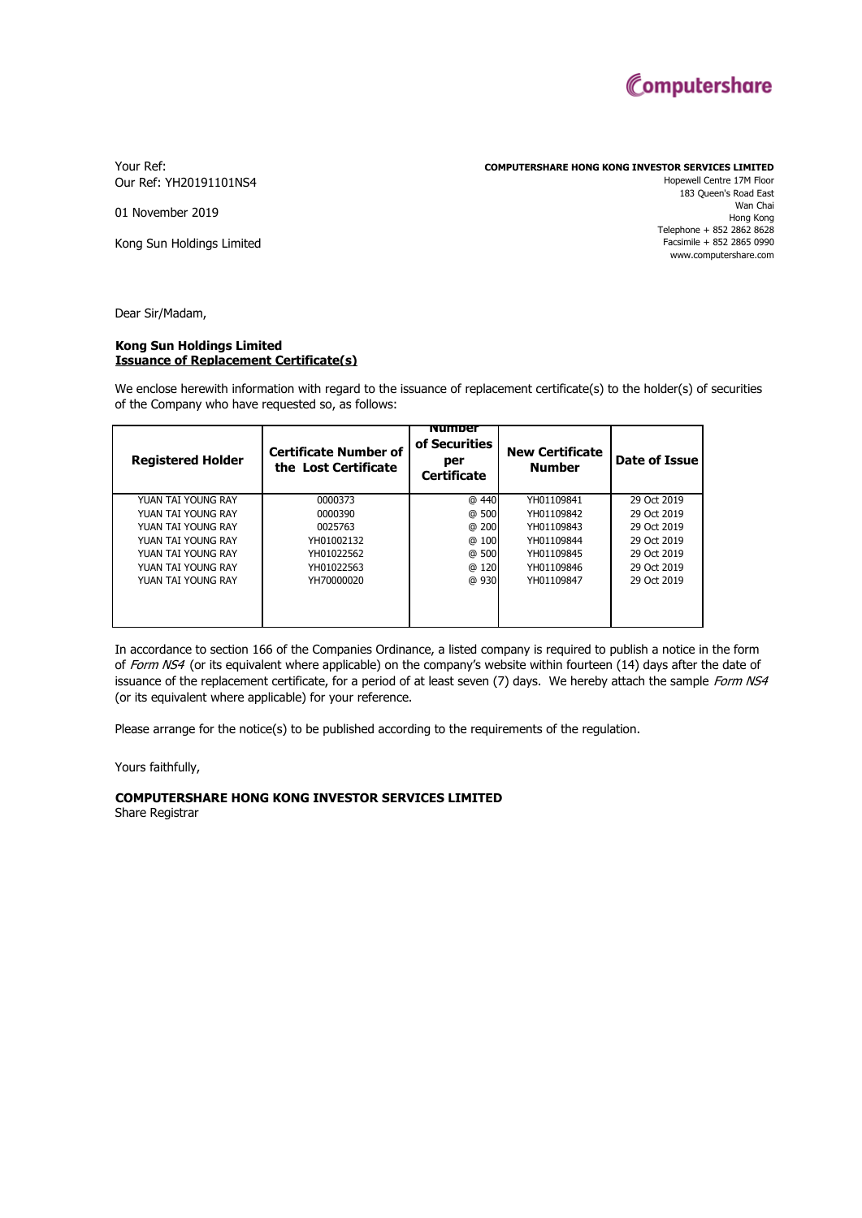

Your Ref: Our Ref: YH20191101NS4 **COMPUTERSHARE HONG KONG INVESTOR SERVICES LIMITED**

01 November 2019

Kong Sun Holdings Limited

Hopewell Centre 17M Floor 183 Queen's Road East Wan Chai Hong Kong Telephone + 852 2862 8628 Facsimile + 852 2865 0990 www.computershare.com

Dear Sir/Madam,

## **Issuance of Replacement Certificate(s) Kong Sun Holdings Limited**

We enclose herewith information with regard to the issuance of replacement certificate(s) to the holder(s) of securities of the Company who have requested so, as follows:

| <b>Registered Holder</b> | <b>Certificate Number of</b><br>the Lost Certificate | <b>Number</b><br>of Securities<br>per<br><b>Certificate</b> | <b>New Certificate</b><br><b>Number</b> | Date of Issue |
|--------------------------|------------------------------------------------------|-------------------------------------------------------------|-----------------------------------------|---------------|
| YUAN TAI YOUNG RAY       | 0000373                                              | @ 440                                                       | YH01109841                              | 29 Oct 2019   |
| YUAN TAI YOUNG RAY       | 0000390                                              | @ 500                                                       | YH01109842                              | 29 Oct 2019   |
| YUAN TAI YOUNG RAY       | 0025763                                              | @ 200                                                       | YH01109843                              | 29 Oct 2019   |
| YUAN TAI YOUNG RAY       | YH01002132                                           | @<br>100                                                    | YH01109844                              | 29 Oct 2019   |
| YUAN TAI YOUNG RAY       | YH01022562                                           | @ 500                                                       | YH01109845                              | 29 Oct 2019   |
| YUAN TAI YOUNG RAY       | YH01022563                                           | 120<br>@                                                    | YH01109846                              | 29 Oct 2019   |
| YUAN TAI YOUNG RAY       | YH70000020                                           | @ 930                                                       | YH01109847                              | 29 Oct 2019   |
|                          |                                                      |                                                             |                                         |               |

In accordance to section 166 of the Companies Ordinance, a listed company is required to publish a notice in the form of Form NS4 (or its equivalent where applicable) on the company's website within fourteen (14) days after the date of issuance of the replacement certificate, for a period of at least seven (7) days. We hereby attach the sample Form NS4 (or its equivalent where applicable) for your reference.

Please arrange for the notice(s) to be published according to the requirements of the regulation.

Yours faithfully,

## **COMPUTERSHARE HONG KONG INVESTOR SERVICES LIMITED**

Share Registrar